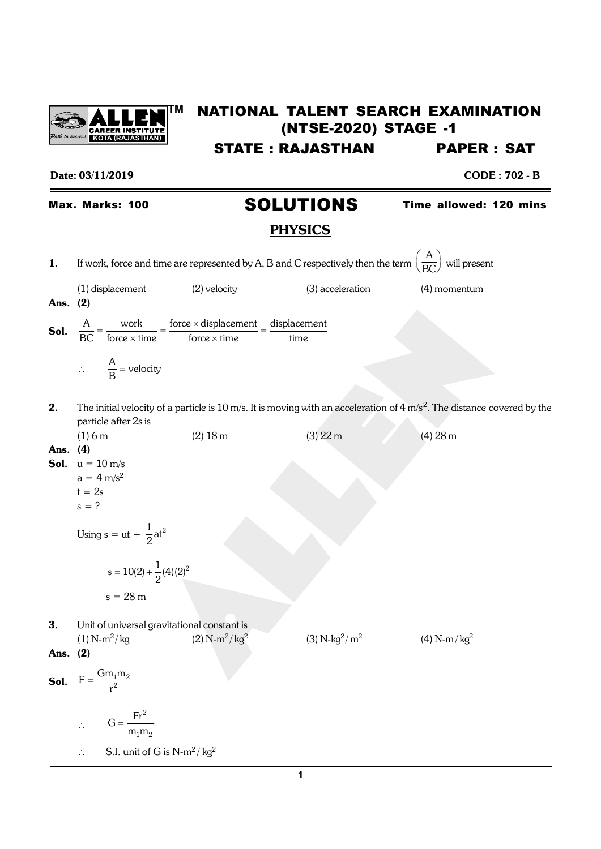

## **TM** NATIONAL TALENT SEARCH EXAMINATION (NTSE-2020) STAGE -1 STATE : RAJASTHAN PAPER : SAT

#### Date: 03/11/2019 CODE : 702 - B

# Max. Marks: 100 **SOLUTIONS** Time allowed: 120 mins

**PHYSICS**  
\n1. If work, force and time are represented by A, B and C respectively then the term 
$$
\left(\frac{A}{BC}\right)
$$
 will present  
\n(1) displacement (2) velocity (3) acceleration (4) momentum  
\nAns. (2)  
\n**Sol.**  $\frac{A}{BC} = \frac{\text{work}}{\text{force} \times \text{displacement}} = \frac{\text{fose} \times \text{displacement}}{\text{force} \times \text{time}} = \frac{\text{displacement}}{\text{time}}$   
\n $\therefore \frac{A}{B} = \text{velocity}$   
\n2. The initial velocity of a particle is 10 m/s. It is moving with an acceleration of 4 m/s<sup>2</sup>. The distance covered by the  
\nparticle after 2s is  
\n(1) 6 m (2) 18 m (3) 22 m (4) 28 m  
\nAns. (4)  
\n**Sool.**  $u = 10$  m/s  
\n $a = 4$  m/s<sup>2</sup>  
\n $t = 2s$   
\n $t = 2s$   
\n $s = 2$   
\nUsing  $s = ut + \frac{1}{2}at^2$   
\n $s = 10(2) + \frac{1}{2}(4)(2)^2$   
\n $s = 28$  m  
\n3. Unit of universal gravitational constant is  
\n(1) N-m<sup>2</sup>/kg (2) N-m<sup>2</sup>/kg<sup>2</sup> (3) N-kg<sup>2</sup>/m<sup>2</sup> (4) N-m/kg<sup>2</sup>  
\n**Sool.**  $F = \frac{Gm_1m_2}{n^2}$   
\n $\therefore G = \frac{Fr^2}{m_1m_2}$   
\n $\therefore S.I. unit of G is N-m2/kg2$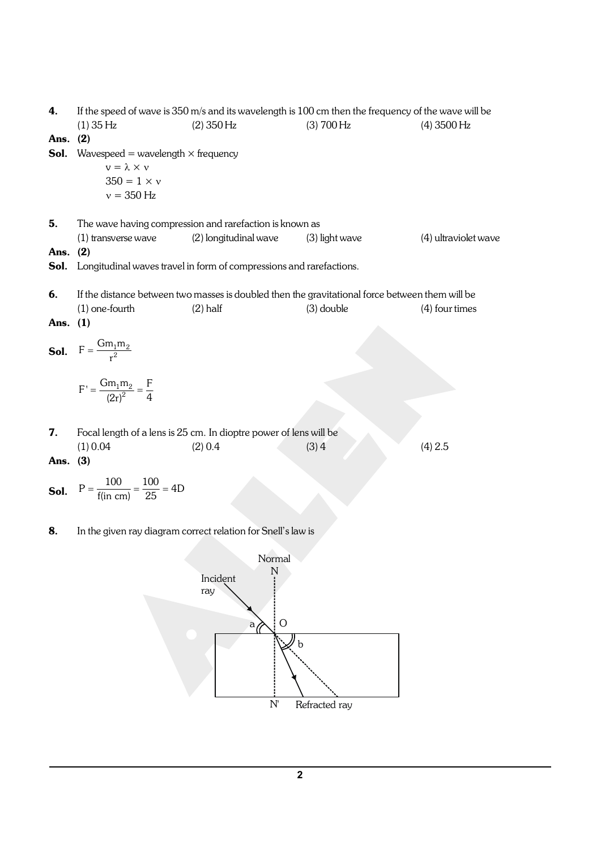| 4.         | If the speed of wave is $350$ m/s and its wavelength is 100 cm then the frequency of the wave will be |                                                                                                 |                  |                      |  |
|------------|-------------------------------------------------------------------------------------------------------|-------------------------------------------------------------------------------------------------|------------------|----------------------|--|
|            | $(1)$ 35 Hz                                                                                           | $(2)$ 350 Hz                                                                                    | (3) 700 Hz       | $(4)$ 3500 Hz        |  |
| Ans. (2)   |                                                                                                       |                                                                                                 |                  |                      |  |
| Sol.       | Wavespeed = wavelength $\times$ frequency                                                             |                                                                                                 |                  |                      |  |
|            | $v = \lambda \times v$                                                                                |                                                                                                 |                  |                      |  |
|            | $350 = 1 \times v$                                                                                    |                                                                                                 |                  |                      |  |
|            | $v = 350$ Hz                                                                                          |                                                                                                 |                  |                      |  |
| 5.         |                                                                                                       | The wave having compression and rarefaction is known as                                         |                  |                      |  |
|            | (1) transverse wave                                                                                   | (2) longitudinal wave                                                                           | $(3)$ light wave | (4) ultraviolet wave |  |
| Ans.       | (2)                                                                                                   |                                                                                                 |                  |                      |  |
| Sol.       |                                                                                                       | Longitudinal waves travel in form of compressions and rarefactions.                             |                  |                      |  |
|            |                                                                                                       |                                                                                                 |                  |                      |  |
| 6.         |                                                                                                       | If the distance between two masses is doubled then the gravitational force between them will be |                  |                      |  |
|            | $(1)$ one-fourth                                                                                      | $(2)$ half                                                                                      | $(3)$ double     | (4) four times       |  |
| Ans. $(1)$ |                                                                                                       |                                                                                                 |                  |                      |  |
|            |                                                                                                       |                                                                                                 |                  |                      |  |
|            | <b>Sol.</b> $F = \frac{Gm_1m_2}{r^2}$                                                                 |                                                                                                 |                  |                      |  |
|            |                                                                                                       |                                                                                                 |                  |                      |  |
|            | $F' = \frac{Gm_1m_2}{(2r)^2} = \frac{F}{4}$                                                           |                                                                                                 |                  |                      |  |
|            |                                                                                                       |                                                                                                 |                  |                      |  |
|            |                                                                                                       |                                                                                                 |                  |                      |  |
| 7.         |                                                                                                       | Focal length of a lens is 25 cm. In dioptre power of lens will be                               |                  |                      |  |
|            | (1) 0.04                                                                                              | (2) 0.4                                                                                         | (3)4             | (4) 2.5              |  |
| Ans. $(3)$ |                                                                                                       |                                                                                                 |                  |                      |  |
|            |                                                                                                       |                                                                                                 |                  |                      |  |
|            | <b>Sol.</b> $P = \frac{100}{f(in cm)} = \frac{100}{25} = 4D$                                          |                                                                                                 |                  |                      |  |
|            |                                                                                                       |                                                                                                 |                  |                      |  |

8. In the given ray diagram correct relation for Snell's law is

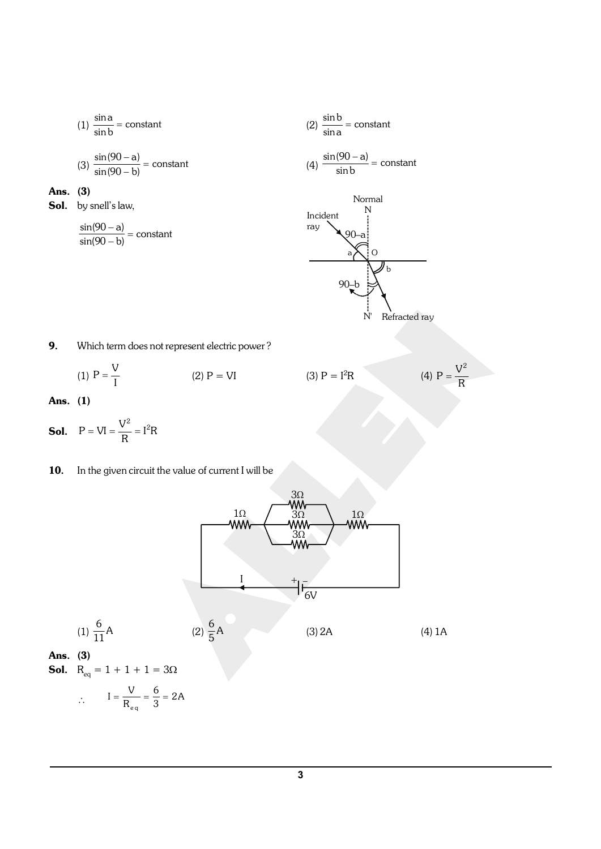$$
(1) \frac{\sin a}{\sin b} = \text{constant} \tag{2}
$$

$$
(3) \frac{\sin(90 - a)}{\sin(90 - b)} = constant
$$

## Ans. (3)

Sol. by snell's law,

$$
\frac{\sin(90-a)}{\sin(90-b)} = \text{constant}
$$

(2) 
$$
\frac{\sin b}{\sin a} = \text{constant}
$$
  
\n(4)  $\frac{\sin(90 - a)}{\sin b} = \text{constant}$   
\nNormal  
\nIncident  
\nray  
\n90-a  
\na  
\n0  
\nb  
\n0  
\nb  
\nV b  
\nRefracted ray

 $P = \frac{V^2}{R}$ 

9. Which term does not represent electric power ?

(1) 
$$
P = \frac{V}{I}
$$
 (2)  $P = VI$ 

Ans. (1)

- **Sol.**  $P = VI = \frac{V^2}{R} = I^2R$
- 10. In the given circuit the value of current I will be



(3)  $P = I^2R$ 

(1) 
$$
\frac{6}{11}
$$
A  
\n(2)  $\frac{6}{5}$ A  
\n(3) 2A  
\n**Ans.** (3)  
\n**Sol.**  $R_{eq} = 1 + 1 + 1 = 3\Omega$   
\n $\therefore I = \frac{V}{R_{eq}} = \frac{6}{3} = 2A$  (4) 1A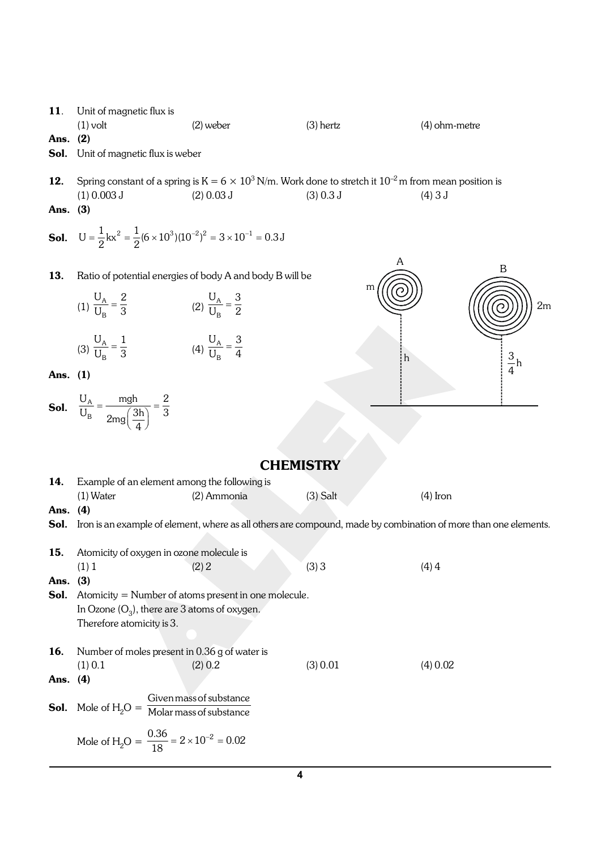11. Unit of magnetic flux is (1) volt (2) weber (3) hertz (4) ohm-metre Ans. (2) Sol. Unit of magnetic flux is weber **12.** Spring constant of a spring is  $K = 6 \times 10^3$  N/m. Work done to stretch it  $10^{-2}$  m from mean position is (1) 0.003 J (2) 0.03 J (3) 0.3 J (4) 3 J Ans. (3) **Sol.**  $U = \frac{1}{2} kx^2 = \frac{1}{2} (6 \times 10^3)(10^{-2})^2 = 3 \times 10^{-1} = 0.3 J$ 13. Ratio of potential energies of body A and body B will be (1)  $\frac{O_A}{U_B}$  $U_A$  2  $\frac{U_{\rm A}}{U_{\rm B}} = \frac{2}{3}$  (2)  $\frac{U_{\rm A}}{U_{\rm B}}$  $U_A$  3  $\frac{G_{\rm A}}{U_{\rm B}} = \frac{9}{2}$ A B 2m m h <sup>3</sup>  $\frac{5}{4}h$ (3)  $\frac{O_{A}}{U_{B}}$  $U_A$  1  $\frac{U_{\rm A}}{U_{\rm B}} = \frac{1}{3}$  (4)  $\frac{U_{\rm A}}{U_{\rm B}}$  $U_A$  3  $\frac{O_{\rm A}}{U_{\rm B}} = \frac{O}{4}$ Ans. (1) Sol.  $\frac{O_A}{U_B}$  $U_A$  mgh 2  $\frac{U_{\rm A}}{U_{\rm B}} = \frac{mg}{2mg\left(\frac{3h}{4}\right)} = \frac{2}{3}$ **CHEMISTRY** 14. Example of an element among the following is (1) Water (2) Ammonia (3) Salt (4) Iron Ans. (4) Sol. Iron is an example of element, where as all others are compound, made by combination of more than one elements. 15. Atomicity of oxygen in ozone molecule is (1) 1 (2) 2 (3) 3 (4) 4 Ans. (3) Sol. Atomicity = Number of atoms present in one molecule. In Ozone (O $_{3}$ ), there are 3 atoms of oxygen. Therefore atomicity is 3. 16. Number of moles present in 0.36 g of water is (1) 0.1 (2) 0.2 (3) 0.01 (4) 0.02 Ans. (4) **Sol.** Mole of  $H_2O =$ Givenmassof substance Molar massof substance

$$
Mole of H2O = \frac{0.36}{18} = 2 \times 10^{-2} = 0.02
$$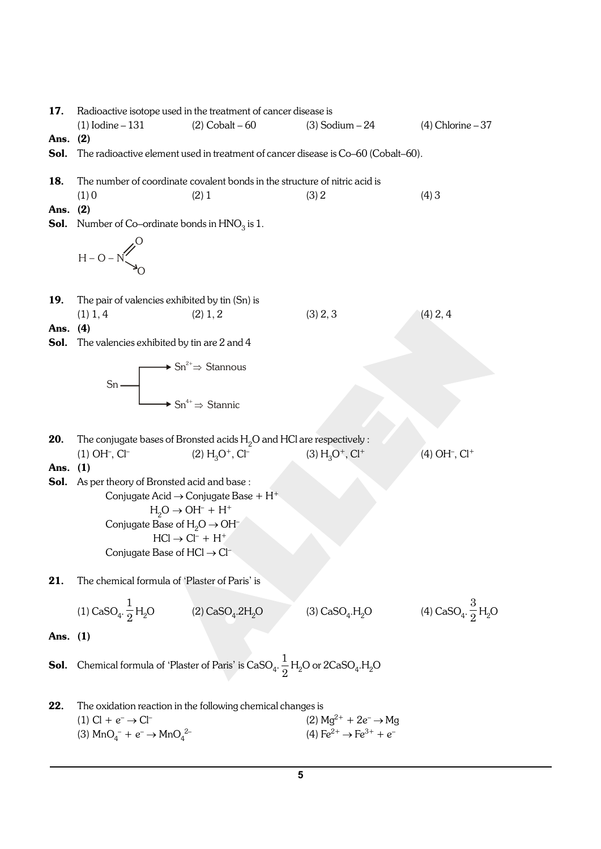17. Radioactive isotope used in the treatment of cancer disease is (1) Iodine – 131 (2) Cobalt – 60 (3) Sodium – 24 (4) Chlorine – 37 Ans. (2) Sol. The radioactive element used in treatment of cancer disease is Co–60 (Cobalt–60). 18. The number of coordinate covalent bonds in the structure of nitric acid is (1) 0 (2) 1 (3) 2 (4) 3 Ans. (2) **Sol.** Number of Co–ordinate bonds in  $\text{HNO}_3$  is  $1$ . H – O – N O O 19. The pair of valencies exhibited by tin (Sn) is (1) 1, 4 (2) 1, 2 (3) 2, 3 (4) 2, 4 Ans. (4) Sol. The valencies exhibited by tin are 2 and 4 Sn  $\blacktriangleright$  Sn<sup>2+</sup> $\Rightarrow$  Stannous  $\text{Sn}^{4+}\Rightarrow \text{Stannic}$ **20.** The conjugate bases of Bronsted acids  $H<sub>2</sub>O$  and HCl are respectively :  $(1)$  OH $^{-}$ , Cl $^{-}$  $(2) H<sub>3</sub>O<sup>+</sup>, Cl<sup>-</sup>$  $(3) H<sub>3</sub>O<sup>+</sup>, Cl<sup>+</sup>$  $(4)$  OH<sup>-</sup>, Cl<sup>+</sup> Ans. (1) Sol. As per theory of Bronsted acid and base: Conjugate Acid  $\rightarrow$  Conjugate Base + H<sup>+</sup>  $H_2O \rightarrow OH^- + H^+$ Conjugate Base of  $H_2O \rightarrow OH^ HCl \rightarrow Cl^- + H^+$ Conjugate Base of  $HCl \rightarrow Cl^{-}$ 21. The chemical formula of 'Plaster of Paris' is  $(1)$  CaSO<sub>4</sub>. 1  $\frac{1}{2}H_2O$  (2) CaSO<sub>4</sub> .2H<sub>2</sub>O (3) CaSO<sub>4</sub>.H<sub>2</sub>O (4) CaSO<sub>4</sub>. 3  $\frac{1}{2}H_2O$ Ans. (1) **Sol.** Chemical formula of 'Plaster of Paris' is  $\text{CaSO}_4$ .  $\frac{1}{2}$  $\frac{1}{2}$  H<sub>2</sub>O or 2CaSO<sub>4</sub>.H<sub>2</sub>O 22. The oxidation reaction in the following chemical changes is (1) Cl +  $e^- \rightarrow C$ l<sup>-</sup> (2)  $Mg^{2+} + 2e^- \rightarrow Mg$ (3)  $MnO_4^- + e^- \rightarrow MnO_4$ (4)  $Fe^{2+} \rightarrow Fe^{3+} + e^{-}$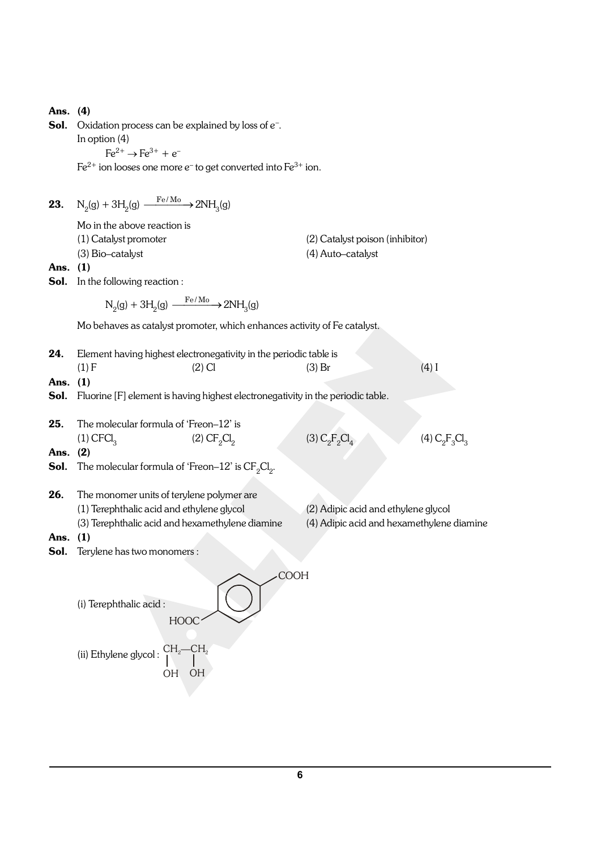| Ans. (4)<br>Sol. | Oxidation process can be explained by loss of e <sup>-</sup> .<br>In option $(4)$<br>$Fe^{2+} \rightarrow Fe^{3+} + e^{-}$<br>$Fe^{2+}$ ion looses one more e <sup>-</sup> to get converted into $Fe^{3+}$ ion. |                                                      |                                           |
|------------------|-----------------------------------------------------------------------------------------------------------------------------------------------------------------------------------------------------------------|------------------------------------------------------|-------------------------------------------|
| 23.              | $N_2(g) + 3H_2(g) \xrightarrow{Fe/M_0} 2NH_3(g)$                                                                                                                                                                |                                                      |                                           |
| Ans. $(1)$       | Mo in the above reaction is<br>(1) Catalyst promoter<br>(3) Bio-catalyst<br><b>Sol.</b> In the following reaction :                                                                                             | (2) Catalyst poison (inhibitor)<br>(4) Auto-catalyst |                                           |
|                  | $N_2(g) + 3H_2(g) \xrightarrow{Fe/M_0} 2NH_3(g)$                                                                                                                                                                |                                                      |                                           |
|                  | Mo behaves as catalyst promoter, which enhances activity of Fe catalyst.                                                                                                                                        |                                                      |                                           |
| 24.              | Element having highest electronegativity in the periodic table is                                                                                                                                               |                                                      |                                           |
|                  | (1) F<br>$(2)$ Cl                                                                                                                                                                                               | $(3)$ Br                                             | $(4)$ I                                   |
| Ans. $(1)$       | <b>Sol.</b> Fluorine [F] element is having highest electronegativity in the periodic table.                                                                                                                     |                                                      |                                           |
| 25.              | The molecular formula of 'Freon-12' is                                                                                                                                                                          |                                                      |                                           |
| Ans. $(2)$       | $(1)$ CFCl <sub>3</sub><br>(2) CF <sub>2</sub> Cl <sub>2</sub>                                                                                                                                                  | (3) $C_2F_2Cl_4$                                     | (4) $C_2F_3Cl_3$                          |
| Sol.             | The molecular formula of 'Freon-12' is $CF_2Cl_2$ .                                                                                                                                                             |                                                      |                                           |
| 26.              | The monomer units of terylene polymer are<br>(1) Terephthalic acid and ethylene glycol<br>(3) Terephthalic acid and hexamethylene diamine                                                                       | (2) Adipic acid and ethylene glycol                  | (4) Adipic acid and hexamethylene diamine |
| Ans.<br>Sol.     | (1)<br>Terylene has two monomers :                                                                                                                                                                              |                                                      |                                           |
|                  | (i) Terephthalic acid:<br><b>HOOC</b><br>$\mathrm{CH_{2}}\!\mathrm{--}\mathrm{CH}_{2}$<br>(ii) Ethylene glycol:                                                                                                 | <b>COOH</b>                                          |                                           |
|                  | OH<br>OH                                                                                                                                                                                                        |                                                      |                                           |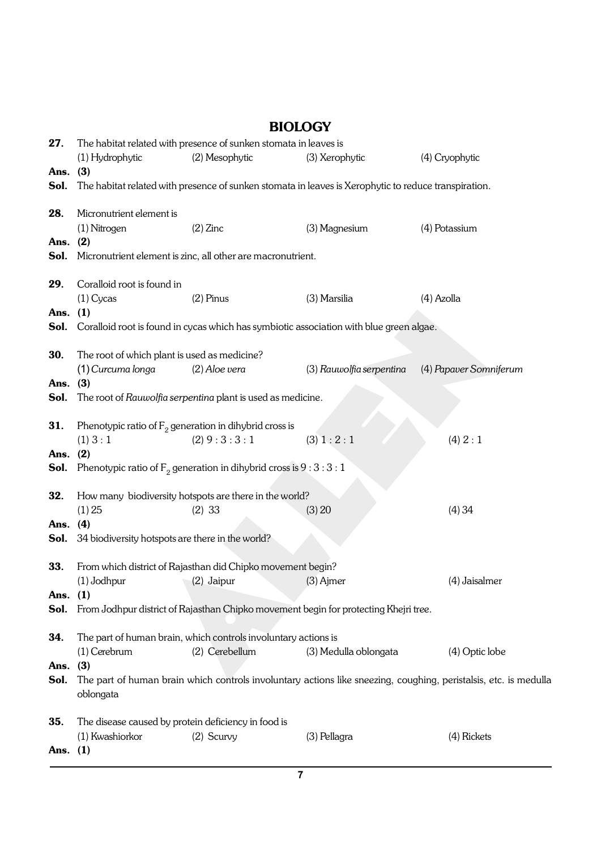27. The habitat related with presence of sunken stomata in leaves is (1) Hydrophytic (2) Mesophytic (3) Xerophytic (4) Cryophytic Ans. (3) Sol. The habitat related with presence of sunken stomata in leaves is Xerophytic to reduce transpiration. 28. Micronutrient element is (1) Nitrogen (2) Zinc (3) Magnesium (4) Potassium Ans. (2) Sol. Micronutrient element is zinc, all other are macronutrient. 29. Coralloid root is found in (1) Cycas (2) Pinus (3) Marsilia (4) Azolla Ans. (1) Sol. Coralloid root is found in cycas which has symbiotic association with blue green algae. **30.** The root of which plant is used as medicine? (1) *Curcuma longa* (2) *Aloe vera* (3) *Rauwolfia serpentina* (4) *Papaver Somniferum* Ans. (3) Sol. The root of *Rauwolfia serpentina* plant is used as medicine. **31.** Phenotypic ratio of  $\mathsf{F}_2$  generation in dihybrid cross is (1)  $3:1$  (2)  $9:3:3:1$  (3)  $1:2:1$  (4)  $2:1$ Ans. (2) **Sol.** Phenotypic ratio of  $\mathsf{F}_2$  generation in dihybrid cross is 9 : 3 : 3 : 1 **32.** How many biodiversity hotspots are there in the world? (1) 25 (2) 33 (3) 20 (4) 34 Ans. (4) Sol. 34 biodiversity hotspots are there in the world? 33. From which district of Rajasthan did Chipko movement begin? (1) Jodhpur (2) Jaipur (3) Ajmer (4) Jaisalmer Ans. (1) Sol. From Jodhpur district of Rajasthan Chipko movement begin for protecting Khejri tree. 34. The part of human brain, which controls involuntary actions is (1) Cerebrum (2) Cerebellum (3) Medulla oblongata (4) Optic lobe Ans. (3) Sol. The part of human brain which controls involuntary actions like sneezing, coughing, peristalsis, etc. is medulla oblongata **35.** The disease caused by protein deficiency in food is (1) Kwashiorkor (2) Scurvy (3) Pellagra (4) Rickets Ans. (1)

## BIOLOGY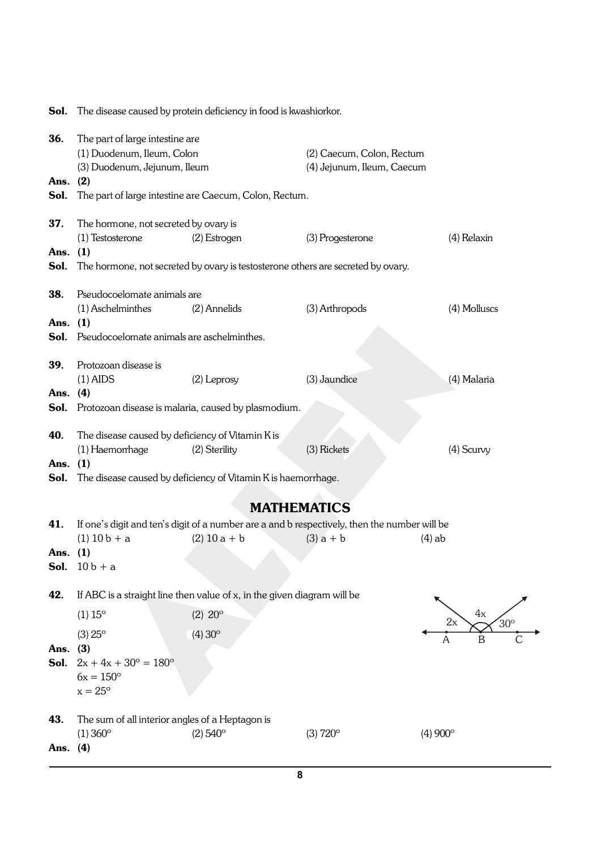| 36.<br>Ans.<br>Sol. | The part of large intestine are<br>(1) Duodenum, Ileum, Colon<br>(3) Duodenum, Jejunum, Ileum<br>(2)                          | The part of large intestine are Caecum, Colon, Rectum.                                                         | (2) Caecum, Colon, Rectum<br>(4) Jejunum, Ileum, Caecum                                                     |                                  |
|---------------------|-------------------------------------------------------------------------------------------------------------------------------|----------------------------------------------------------------------------------------------------------------|-------------------------------------------------------------------------------------------------------------|----------------------------------|
| 37.<br>Ans.<br>Sol. | The hormone, not secreted by ovary is<br>(1) Testosterone<br>(1)                                                              | (2) Estrogen<br>The hormone, not secreted by ovary is testosterone others are secreted by ovary.               | (3) Progesterone                                                                                            | (4) Relaxin                      |
| 38.<br>Ans.<br>Sol. | Pseudocoelomate animals are<br>(1) Aschelminthes<br>(1)<br>Pseudocoelomate animals are aschelminthes.                         | (2) Annelids                                                                                                   | (3) Arthropods                                                                                              | (4) Molluscs                     |
| 39.<br>Ans.<br>Sol. | Protozoan disease is<br>$(1)$ AIDS<br>(4)                                                                                     | (2) Leprosy<br>Protozoan disease is malaria, caused by plasmodium.                                             | (3) Jaundice                                                                                                | (4) Malaria                      |
| 40.<br>Ans.<br>Sol. | The disease caused by deficiency of Vitamin K is<br>(1) Haemorrhage<br>(1)                                                    | (2) Sterility<br>The disease caused by deficiency of Vitamin K is haemorrhage.                                 | (3) Rickets                                                                                                 | (4) Scurvy                       |
|                     |                                                                                                                               | <b>MATHEMATICS</b>                                                                                             |                                                                                                             |                                  |
| 41.<br>Ans.<br>Sol. | $(1)$ 10 b + a<br>(1)<br>$10 b + a$                                                                                           | $(2)$ 10 a + b                                                                                                 | If one's digit and ten's digit of a number are a and b respectively, then the number will be<br>$(3)$ a + b | $(4)$ ab                         |
| 42.<br>Ans.<br>Sol. | $(1) 15^{\circ}$<br>$(3) 25^{\circ}$<br>(3)<br>$2x + 4x + 30^{\circ} = 180^{\circ}$<br>$6x = 150^{\circ}$<br>$x = 25^{\circ}$ | If ABC is a straight line then value of x, in the given diagram will be<br>$(2) 20^{\circ}$<br>$(4)30^{\circ}$ |                                                                                                             | 4x<br>2x<br>$30^\circ$<br>B<br>A |
| 43.<br>Ans. $(4)$   | The sum of all interior angles of a Heptagon is<br>$(1) 360^{\circ}$                                                          | $(2) 540^{\circ}$                                                                                              | $(3) 720^{\circ}$                                                                                           | $(4)900^{\circ}$                 |

Sol. The disease caused by protein deficiency in food is kwashiorkor.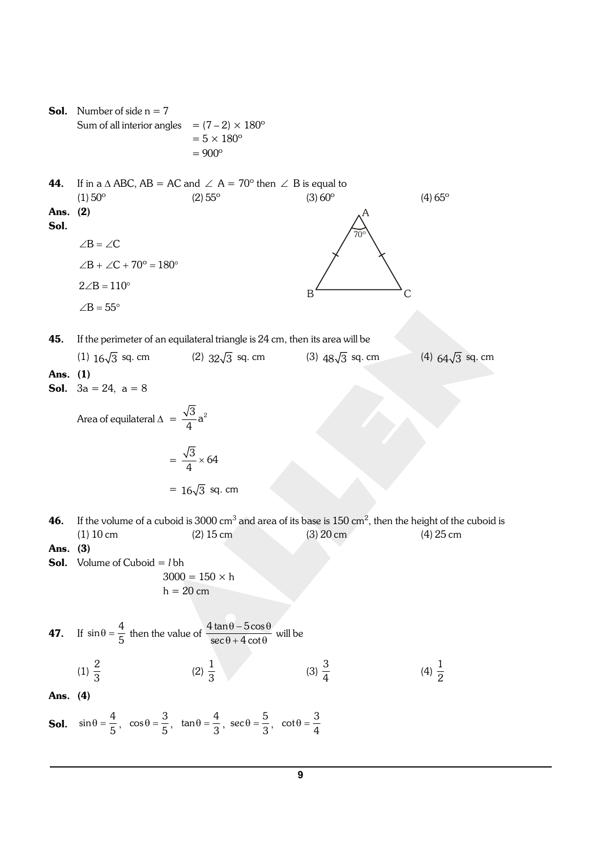**Sol.** Number of side  $n = 7$ Sum of all interior angles =  $(7-2) \times 180^\circ$  $= 5 \times 180^\circ$  $= 900°$ **44.** If in a  $\triangle$  ABC, AB = AC and  $\angle$  A = 70° then  $\angle$  B is equal to (1)  $50^{\circ}$  (2)  $55^{\circ}$  (3)  $60^{\circ}$  (4)  $65^{\circ}$ Ans. (2) Sol.  $\angle B = \angle C$  $\angle B + \angle C + 70^\circ = 180^\circ$ A  $B \sim C$ 70º  $2\angle B = 110^{\circ}$  $\angle B = 55^\circ$ 45. If the perimeter of an equilateral triangle is 24 cm, then its area will be (1)  $16\sqrt{3}$  sq. cm (2)  $32\sqrt{3}$  sq. cm (3)  $48\sqrt{3}$  sq. cm (4)  $64\sqrt{3}$  sq. cm Ans. (1) **Sol.**  $3a = 24$ ,  $a = 8$ Area of equilateral  $\Delta = \frac{\sqrt{3}}{4}a^2$  $=\frac{\sqrt{3}}{4} \times 64$ =  $16\sqrt{3}$  sq. cm **46.** If the volume of a cuboid is 3000 cm<sup>3</sup> and area of its base is 150 cm<sup>2</sup>, then the height of the cuboid is (1) 10 cm (2) 15 cm (3) 20 cm (4) 25 cm Ans. (3) Sol. Volume of Cuboid = *l* bh  $3000 = 150 \times h$  $h = 20$  cm **47.** If  $\sin \theta = \frac{4}{5}$  then the value of  $\frac{4 \tan \theta - 5 \cos \theta}{\sec \theta + 4 \cot \theta}$  $\frac{\partial \theta - 5 \cos \theta}{\partial + 4 \cot \theta}$  will be (1)  $\frac{2}{3}$  $(2) \frac{1}{3}$  $(3) \frac{3}{4}$ (4)  $\frac{1}{2}$ Ans. (4) **Sol.**  $\sin \theta = \frac{4}{5}$ ,  $\cos \theta = \frac{3}{5}$ ,  $\tan \theta = \frac{4}{3}$ ,  $\sec \theta = \frac{5}{3}$ ,  $\cot \theta = \frac{3}{4}$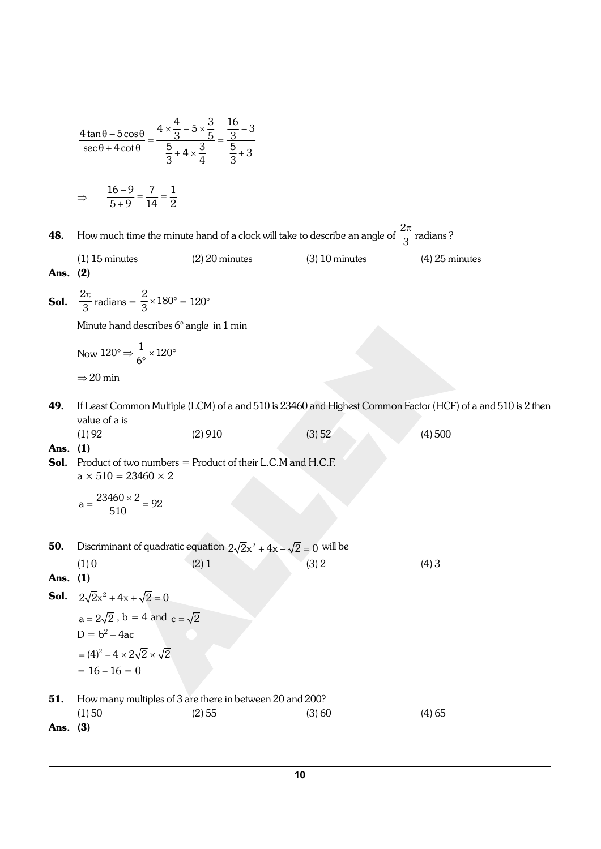$$
\frac{4 \tan \theta - 5 \cos \theta}{\sec \theta + 4 \cot \theta} = \frac{4 \times \frac{4}{3} - 5 \times \frac{3}{5}}{5 + 4 \times \frac{3}{4}} = \frac{\frac{16}{3} - 3}{\frac{5}{3} + 3}
$$
\n
$$
\Rightarrow \frac{16 - 9}{5 + 9} = \frac{7}{14} = \frac{1}{2}
$$
\n48. How much time the minute hand of a clock will take to describe an angle of  $\frac{2\pi}{3}$  radians?  
\n(1) 15 minutes  
\n(2) 20 minutes  
\n30.  $\frac{2\pi}{3}$  radians =  $\frac{2}{3} \times 180^\circ = 120^\circ$   
\n(3) 10 minutes  
\nAns. (2)  
\n50.  $\frac{2\pi}{3}$  radians =  $\frac{2}{3} \times 180^\circ = 120^\circ$   
\n
$$
\Rightarrow 20 \text{ min}
$$
\n
$$
\text{Number a red describes 6° angle in 1 min}
$$
\nNow  $120^\circ \Rightarrow \frac{1}{6^\circ} \times 120^\circ$   
\n
$$
\Rightarrow 20 \text{ min}
$$
\n49. If Least Common Multiple (LCM) of a and 510 is 23460 and Highest Common Factor (HCF) of a and 510 is 2 then  
\nvalue of a is  
\n(1) 92  
\n(2) 910  
\n(3) 52  
\n(4) 500  
\n50. Product of two numbers = Product of their LCM and H.C.F.  
\n
$$
a \times 510 = 23460 \times 2
$$
\n
$$
a = \frac{23460 \times 2}{510} = 92
$$
\n50. Discriminant of quadratic equation  $2\sqrt{2}x^2 + 4x + \sqrt{2} = 0$  will be  
\n(1) 0  
\n(2) 1  
\n(3) 2  
\n(4) 3  
\nAns. (1)  
\n50.  $2\sqrt{2}x^2 + 4x + \sqrt{2} = 0$   
\n
$$
a = 2\sqrt{2}, b = 4
$$
 and  $c = \sqrt{2}$   
\n
$$
D = b^2 - 4ac
$$
\n
$$
= (4)^2
$$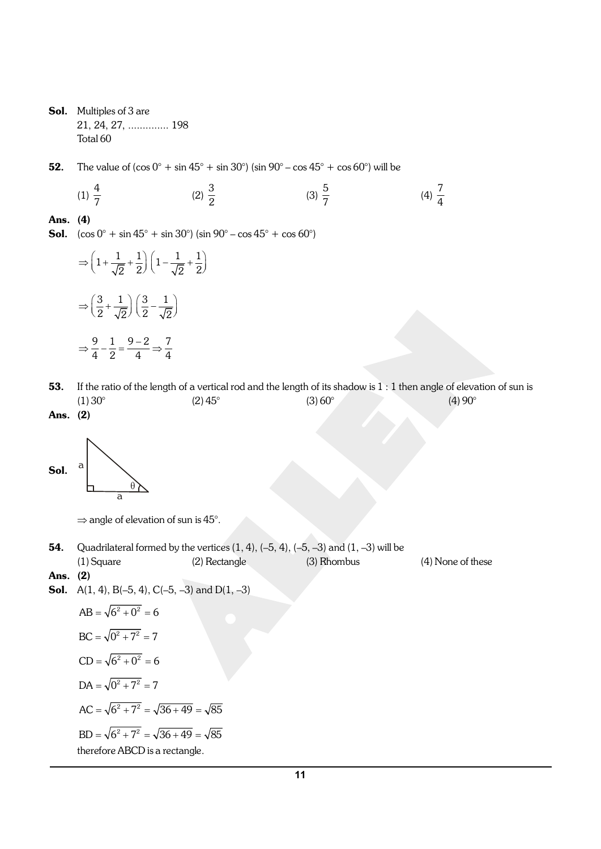Sol. Multiples of 3 are 21, 24, 27, .............. 198 Total 60

**52.** The value of  $(\cos 0^\circ + \sin 45^\circ + \sin 30^\circ)$  (sin  $90^\circ - \cos 45^\circ + \cos 60^\circ$ ) will be

$$
(1) \frac{4}{7} \qquad \qquad (2) \frac{3}{2} \qquad \qquad (3) \frac{5}{7} \qquad \qquad (4) \frac{7}{4}
$$

#### Ans. (4)

**Sol.**  $(\cos 0^{\circ} + \sin 45^{\circ} + \sin 30^{\circ}) (\sin 90^{\circ} - \cos 45^{\circ} + \cos 60^{\circ})$ 

$$
\Rightarrow \left(1 + \frac{1}{\sqrt{2}} + \frac{1}{2}\right)\left(1 - \frac{1}{\sqrt{2}} + \frac{1}{2}\right)
$$

$$
\Rightarrow \left(\frac{3}{2} + \frac{1}{\sqrt{2}}\right)\left(\frac{3}{2} - \frac{1}{\sqrt{2}}\right)
$$

$$
\Rightarrow \frac{9}{4} - \frac{1}{2} = \frac{9 - 2}{4} \Rightarrow \frac{7}{4}
$$

- 53. If the ratio of the length of a vertical rod and the length of its shadow is  $1:1$  then angle of elevation of sun is (1) 30°  $(2)$  45°  $(3)$  60°  $(4)$  90°
- Ans. (2)



 $\Rightarrow$  angle of elevation of sun is 45°.

**54.** Quadrilateral formed by the vertices  $(1, 4)$ ,  $(-5, 4)$ ,  $(-5, -3)$  and  $(1, -3)$  will be

(1) Square (2) Rectangle (3) Rhombus (4) None of these

#### Ans. (2)

**Sol.** A(1, 4), B(-5, 4), C(-5, -3) and D(1, -3)

$$
AB = \sqrt{6^2 + 0^2} = 6
$$
  
BC =  $\sqrt{0^2 + 7^2} = 7$   
CD =  $\sqrt{6^2 + 0^2} = 6$   
DA =  $\sqrt{0^2 + 7^2} = 7$   
AC =  $\sqrt{6^2 + 7^2} = \sqrt{36 + 49} = \sqrt{85}$   
BD =  $\sqrt{6^2 + 7^2} = \sqrt{36 + 49} = \sqrt{85}$   
therefore ABCD is a rectangle.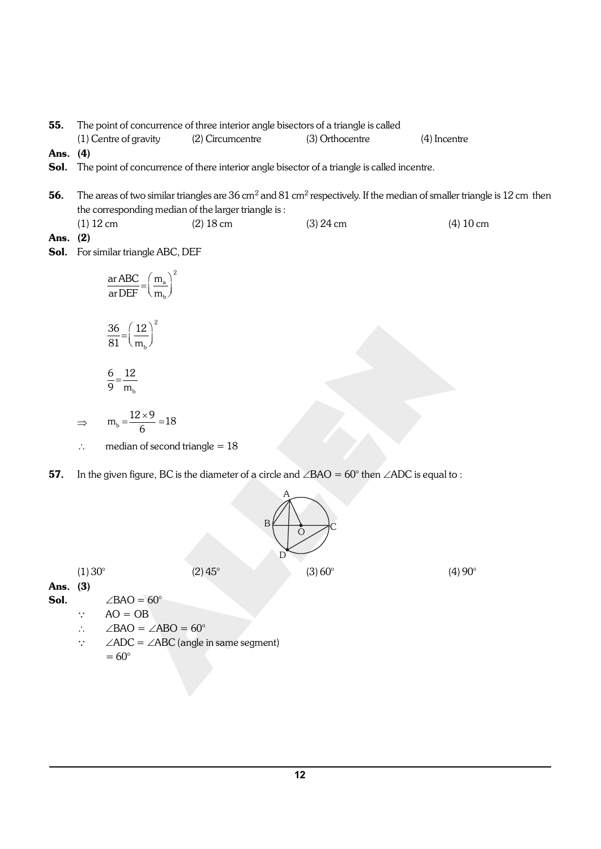**55.** The point of concurrence of three interior angle bisectors of a triangle is called (1) Centre of gravity (2) Circumcentre (3) Orthocentre (4) Incentre Ans. (4) Sol. The point of concurrence of there interior angle bisector of a triangle is called incentre. **56.** The areas of two similar triangles are 36 cm<sup>2</sup> and 81 cm<sup>2</sup> respectively. If the median of smaller triangle is 12 cm then the corresponding median of the larger triangle is : (1)  $12 \text{ cm}$  (2)  $18 \text{ cm}$  (3)  $24 \text{ cm}$  (4)  $10 \text{ cm}$ Ans. (2) Sol. For similar triangle ABC, DEF 2 a b ar ABC ( m ar  $\mathsf{DEF} \hspace{1mm} \setminus \mathsf{m}$  $=\left(\frac{m_a}{m_b}\right)^2$ 2 b 36 12 81 \ m  $=\left(\frac{12}{m_b}\right)^2$  $\frac{6}{8} = \frac{12}{8}$ 

$$
\overline{9} = \overline{m_{b}}
$$

 $\Rightarrow$  m<sub>b</sub> =  $\frac{12 \times 9}{6}$  = 18  $=\frac{12\times9}{6}=1$ 

- $\therefore$  median of second triangle = 18
- **57.** In the given figure, BC is the diameter of a circle and  $\angle$ BAO = 60° then  $\angle$ ADC is equal to :



(1) 30°  $(2)$  45°  $(3)$  60°  $(4)$  90°

Ans. (3)

**Sol.**  $\angle BAO = 60^\circ$ 

 $\therefore$  AO = OB

- $\angle$ BAO =  $\angle$ ABO = 60°
- $\therefore$   $\angle ADC = \angle ABC$  (angle in same segment)  $= 60^\circ$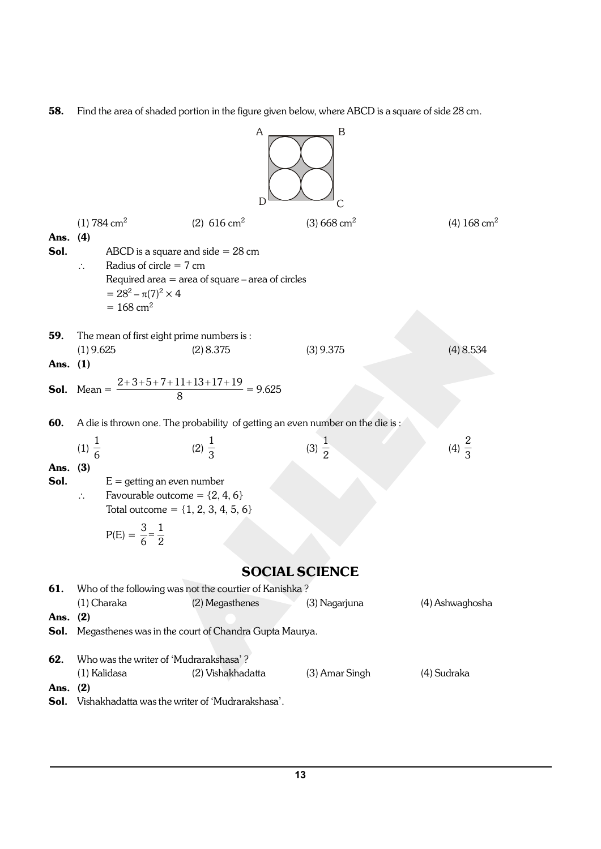58. Find the area of shaded portion in the figure given below, where ABCD is a square of side 28 cm.

A B D C (1) 784 cm<sup>2</sup> (2) 616 cm<sup>2</sup> (3) 668 cm<sup>2</sup> (4) 168 cm<sup>2</sup> Ans. (4) Sol. ABCD is a square and side = 28 cm \ Radius of circle = 7 cm Required area = area of square – area of circles = 28<sup>2</sup> – p(7)<sup>2</sup>× 4 = 168 cm<sup>2</sup> 59. The mean of first eight prime numbers is : (1) 9.625 (2) 8.375 (3) 9.375 (4) 8.534 Ans. (1) Sol. Mean = 2 3 5 7 11 13 17 19 8 ++++ + + + = 9.625 60. A die is thrown one. The probability of getting an even number on the die is : (1) 1 6 (2) 1 3 (3) 1 2 (4) 2 3 Ans. (3) Sol. E = getting an even number \ Favourable outcome = {2, 4, 6} Total outcome = {1, 2, 3, 4, 5, 6} P(E) = 3 1 6 2 = SOCIAL SCIENCE 61. Who of the following was not the courtier of Kanishka ? (1) Charaka (2) Megasthenes (3) Nagarjuna (4) Ashwaghosha Ans. (2) Sol. Megasthenes was in the court of Chandra Gupta Maurya. 62. Who was the writer of 'Mudrarakshasa' ? (1) Kalidasa (2) Vishakhadatta (3) Amar Singh (4) Sudraka Ans. (2) Sol. Vishakhadatta was the writer of 'Mudrarakshasa'.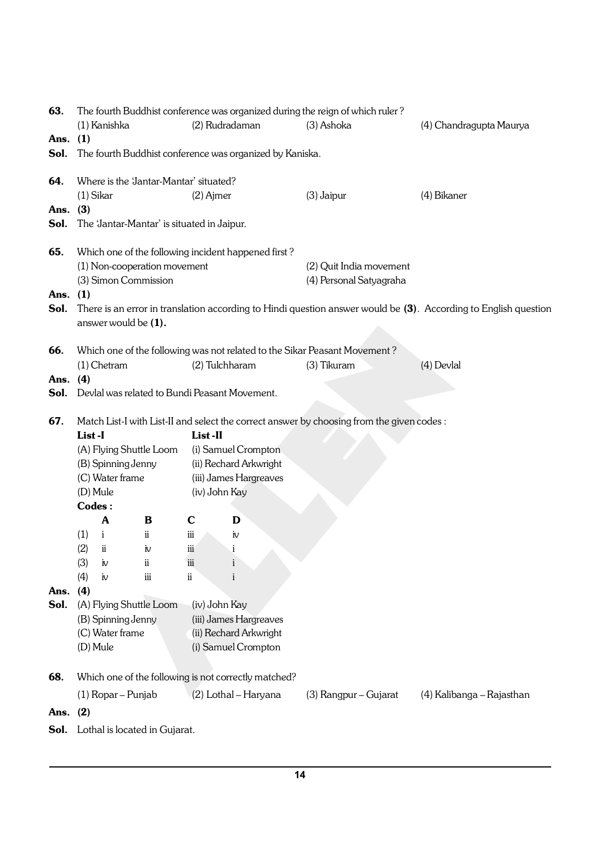| Ans.         | The fourth Buddhist conference was organized during the reign of which ruler? |     |             |                                                      |                                                                                           |                                                                                                                 |  |  |  |  |  |
|--------------|-------------------------------------------------------------------------------|-----|-------------|------------------------------------------------------|-------------------------------------------------------------------------------------------|-----------------------------------------------------------------------------------------------------------------|--|--|--|--|--|
|              | (1) Kanishka                                                                  |     |             | (2) Rudradaman                                       | (3) Ashoka                                                                                | (4) Chandragupta Maurya                                                                                         |  |  |  |  |  |
|              | (1)                                                                           |     |             |                                                      |                                                                                           |                                                                                                                 |  |  |  |  |  |
| Sol.         | The fourth Buddhist conference was organized by Kaniska.                      |     |             |                                                      |                                                                                           |                                                                                                                 |  |  |  |  |  |
| 64.          | Where is the 'Jantar-Mantar' situated?                                        |     |             |                                                      |                                                                                           |                                                                                                                 |  |  |  |  |  |
|              | $(1)$ Sikar                                                                   |     | $(2)$ Ajmer |                                                      | $(3)$ Jaipur                                                                              | (4) Bikaner                                                                                                     |  |  |  |  |  |
| Ans.         | (3)                                                                           |     |             |                                                      |                                                                                           |                                                                                                                 |  |  |  |  |  |
| Sol.         | The 'Jantar-Mantar' is situated in Jaipur.                                    |     |             |                                                      |                                                                                           |                                                                                                                 |  |  |  |  |  |
| 65.          | Which one of the following incident happened first?                           |     |             |                                                      |                                                                                           |                                                                                                                 |  |  |  |  |  |
|              | (1) Non-cooperation movement                                                  |     |             |                                                      | (2) Quit India movement                                                                   |                                                                                                                 |  |  |  |  |  |
|              | (3) Simon Commission                                                          |     |             |                                                      | (4) Personal Satyagraha                                                                   |                                                                                                                 |  |  |  |  |  |
| Ans.         | (1)                                                                           |     |             |                                                      |                                                                                           |                                                                                                                 |  |  |  |  |  |
| Sol.         | answer would be (1).                                                          |     |             |                                                      |                                                                                           | There is an error in translation according to Hindi question answer would be (3). According to English question |  |  |  |  |  |
|              |                                                                               |     |             |                                                      |                                                                                           |                                                                                                                 |  |  |  |  |  |
| 66.          |                                                                               |     |             |                                                      | Which one of the following was not related to the Sikar Peasant Movement?                 |                                                                                                                 |  |  |  |  |  |
|              | $(1)$ Chetram<br>(4)                                                          |     |             | (2) Tulchharam                                       | (3) Tikuram                                                                               | (4) Devlal                                                                                                      |  |  |  |  |  |
| Ans.<br>Sol. |                                                                               |     |             | Devlal was related to Bundi Peasant Movement.        |                                                                                           |                                                                                                                 |  |  |  |  |  |
|              |                                                                               |     |             |                                                      |                                                                                           |                                                                                                                 |  |  |  |  |  |
| 67.          |                                                                               |     |             |                                                      | Match List-I with List-II and select the correct answer by choosing from the given codes: |                                                                                                                 |  |  |  |  |  |
|              | List-I                                                                        |     | List-II     |                                                      |                                                                                           |                                                                                                                 |  |  |  |  |  |
|              | (A) Flying Shuttle Loom                                                       |     |             | (i) Samuel Crompton                                  |                                                                                           |                                                                                                                 |  |  |  |  |  |
|              | (B) Spinning Jenny<br>(ii) Rechard Arkwright                                  |     |             |                                                      |                                                                                           |                                                                                                                 |  |  |  |  |  |
|              | (iii) James Hargreaves<br>(C) Water frame                                     |     |             |                                                      |                                                                                           |                                                                                                                 |  |  |  |  |  |
|              |                                                                               |     |             |                                                      |                                                                                           |                                                                                                                 |  |  |  |  |  |
|              | (D) Mule                                                                      |     |             | (iv) John Kay                                        |                                                                                           |                                                                                                                 |  |  |  |  |  |
|              | Codes:                                                                        |     |             |                                                      |                                                                                           |                                                                                                                 |  |  |  |  |  |
|              | A                                                                             | B   | $\mathbf C$ | D                                                    |                                                                                           |                                                                                                                 |  |  |  |  |  |
|              | $\mathbf{i}$<br>(1)                                                           | ii  | iii         | iv                                                   |                                                                                           |                                                                                                                 |  |  |  |  |  |
|              | (2)<br>ii                                                                     | iv  | iii         | i                                                    |                                                                                           |                                                                                                                 |  |  |  |  |  |
|              | (3)<br>iv                                                                     | ii  | iii         | $\mathbf{i}$                                         |                                                                                           |                                                                                                                 |  |  |  |  |  |
|              | (4)<br>iv                                                                     | iii | ii          | $\mathbf{i}$                                         |                                                                                           |                                                                                                                 |  |  |  |  |  |
| Ans.         | (4)                                                                           |     |             |                                                      |                                                                                           |                                                                                                                 |  |  |  |  |  |
| Sol.         | (A) Flying Shuttle Loom                                                       |     |             | (iv) John Kay                                        |                                                                                           |                                                                                                                 |  |  |  |  |  |
|              | (B) Spinning Jenny                                                            |     |             | (iii) James Hargreaves                               |                                                                                           |                                                                                                                 |  |  |  |  |  |
|              | (C) Water frame                                                               |     |             | (ii) Rechard Arkwright                               |                                                                                           |                                                                                                                 |  |  |  |  |  |
|              | (D) Mule                                                                      |     |             | (i) Samuel Crompton                                  |                                                                                           |                                                                                                                 |  |  |  |  |  |
| 68.          |                                                                               |     |             | Which one of the following is not correctly matched? |                                                                                           |                                                                                                                 |  |  |  |  |  |
|              | (1) Ropar - Punjab                                                            |     |             | (2) Lothal - Haryana                                 | (3) Rangpur – Gujarat                                                                     | (4) Kalibanga – Rajasthan                                                                                       |  |  |  |  |  |
| Ans.         | (2)                                                                           |     |             |                                                      |                                                                                           |                                                                                                                 |  |  |  |  |  |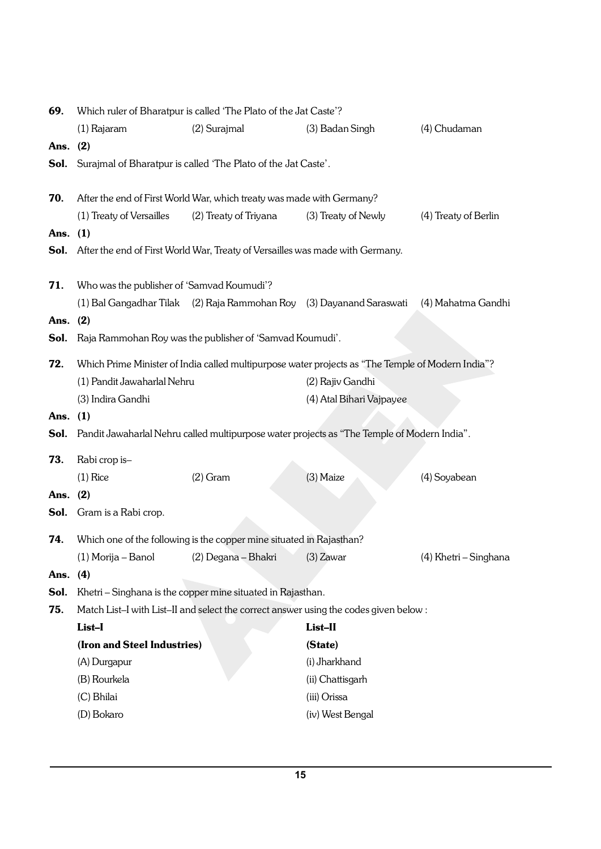| 69.        | Which ruler of Bharatpur is called 'The Plato of the Jat Caste'?      |                                                                                                   |                          |                       |  |  |  |  |  |
|------------|-----------------------------------------------------------------------|---------------------------------------------------------------------------------------------------|--------------------------|-----------------------|--|--|--|--|--|
|            | (1) Rajaram                                                           | (2) Surajmal                                                                                      | (3) Badan Singh          | (4) Chudaman          |  |  |  |  |  |
| Ans. (2)   |                                                                       |                                                                                                   |                          |                       |  |  |  |  |  |
| Sol.       | Surajmal of Bharatpur is called 'The Plato of the Jat Caste'.         |                                                                                                   |                          |                       |  |  |  |  |  |
|            |                                                                       |                                                                                                   |                          |                       |  |  |  |  |  |
| 70.        | After the end of First World War, which treaty was made with Germany? |                                                                                                   |                          |                       |  |  |  |  |  |
|            | (1) Treaty of Versailles                                              | (2) Treaty of Triyana                                                                             | (3) Treaty of Newly      | (4) Treaty of Berlin  |  |  |  |  |  |
| Ans. $(1)$ |                                                                       |                                                                                                   |                          |                       |  |  |  |  |  |
|            |                                                                       | <b>Sol.</b> After the end of First World War, Treaty of Versailles was made with Germany.         |                          |                       |  |  |  |  |  |
|            |                                                                       |                                                                                                   |                          |                       |  |  |  |  |  |
| 71.        | Who was the publisher of 'Samvad Koumudi'?                            |                                                                                                   |                          |                       |  |  |  |  |  |
|            |                                                                       | (1) Bal Gangadhar Tilak (2) Raja Rammohan Roy (3) Dayanand Saraswati                              |                          | (4) Mahatma Gandhi    |  |  |  |  |  |
| Ans. $(2)$ |                                                                       |                                                                                                   |                          |                       |  |  |  |  |  |
| Sol.       |                                                                       | Raja Rammohan Roy was the publisher of 'Samvad Koumudi'.                                          |                          |                       |  |  |  |  |  |
| 72.        |                                                                       | Which Prime Minister of India called multipurpose water projects as "The Temple of Modern India"? |                          |                       |  |  |  |  |  |
|            | (1) Pandit Jawaharlal Nehru                                           |                                                                                                   | (2) Rajiv Gandhi         |                       |  |  |  |  |  |
|            | (3) Indira Gandhi                                                     |                                                                                                   | (4) Atal Bihari Vajpayee |                       |  |  |  |  |  |
| Ans. $(1)$ |                                                                       |                                                                                                   |                          |                       |  |  |  |  |  |
| Sol.       |                                                                       | Pandit Jawaharlal Nehru called multipurpose water projects as "The Temple of Modern India".       |                          |                       |  |  |  |  |  |
| 73.        | Rabi crop is-                                                         |                                                                                                   |                          |                       |  |  |  |  |  |
|            | $(1)$ Rice                                                            | $(2)$ Gram                                                                                        | (3) Maize                | (4) Soyabean          |  |  |  |  |  |
| Ans. $(2)$ |                                                                       |                                                                                                   |                          |                       |  |  |  |  |  |
|            | <b>Sol.</b> Gram is a Rabi crop.                                      |                                                                                                   |                          |                       |  |  |  |  |  |
|            |                                                                       |                                                                                                   |                          |                       |  |  |  |  |  |
| 74.        |                                                                       | Which one of the following is the copper mine situated in Rajasthan?                              |                          |                       |  |  |  |  |  |
|            | (1) Morija – Banol (2) Degana – Bhakri                                |                                                                                                   | (3) Zawar                | (4) Khetri - Singhana |  |  |  |  |  |
| Ans. (4)   |                                                                       |                                                                                                   |                          |                       |  |  |  |  |  |
| Sol.       |                                                                       | Khetri - Singhana is the copper mine situated in Rajasthan.                                       |                          |                       |  |  |  |  |  |
| 75.        |                                                                       | Match List-I with List-II and select the correct answer using the codes given below :             |                          |                       |  |  |  |  |  |
|            | List-I                                                                |                                                                                                   | List-II                  |                       |  |  |  |  |  |
|            | (Iron and Steel Industries)                                           |                                                                                                   | (State)                  |                       |  |  |  |  |  |
|            | (A) Durgapur                                                          |                                                                                                   | (i) Jharkhand            |                       |  |  |  |  |  |
|            | (B) Rourkela                                                          |                                                                                                   | (ii) Chattisgarh         |                       |  |  |  |  |  |
|            | (C) Bhilai                                                            |                                                                                                   | (iii) Orissa             |                       |  |  |  |  |  |
|            | (D) Bokaro                                                            |                                                                                                   | (iv) West Bengal         |                       |  |  |  |  |  |
|            |                                                                       |                                                                                                   |                          |                       |  |  |  |  |  |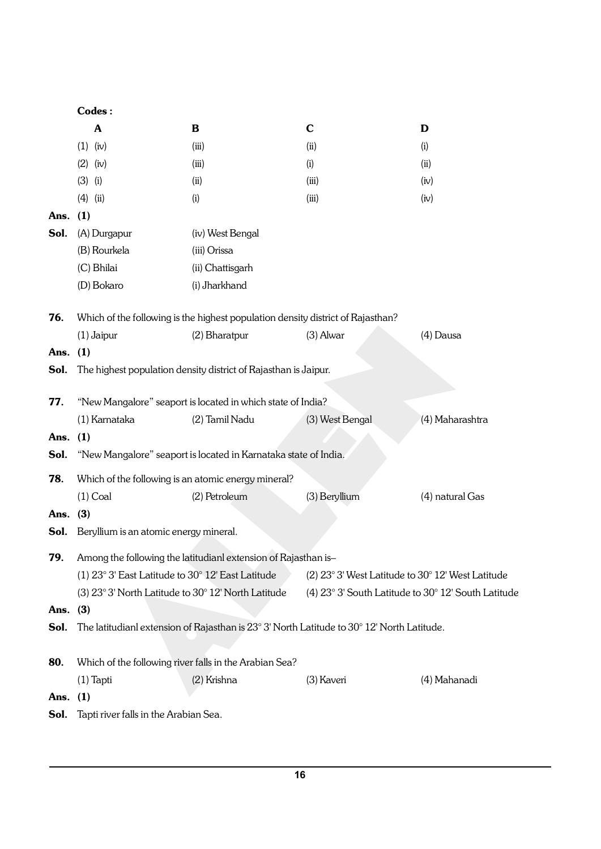|            | Codes:                                                              |                                                                                            |                                                     |                 |
|------------|---------------------------------------------------------------------|--------------------------------------------------------------------------------------------|-----------------------------------------------------|-----------------|
|            | A                                                                   | $\bf{B}$                                                                                   | $\mathbf C$                                         | D               |
|            | $(1)$ (iv)                                                          | (iii)                                                                                      | (ii)                                                | (i)             |
|            | $(2)$ (iv)                                                          | (iii)                                                                                      | (i)                                                 | (ii)            |
|            | $(3)$ (i)                                                           | (ii)                                                                                       | (iii)                                               | (iv)            |
|            | $(4)$ (ii)                                                          | (i)                                                                                        | (iii)                                               | (iv)            |
| Ans.       | (1)                                                                 |                                                                                            |                                                     |                 |
| Sol.       | (A) Durgapur                                                        | (iv) West Bengal                                                                           |                                                     |                 |
|            | (B) Rourkela                                                        | (iii) Orissa                                                                               |                                                     |                 |
|            | (C) Bhilai                                                          | (ii) Chattisgarh                                                                           |                                                     |                 |
|            | (D) Bokaro                                                          | (i) Jharkhand                                                                              |                                                     |                 |
| 76.        |                                                                     | Which of the following is the highest population density district of Rajasthan?            |                                                     |                 |
|            | $(1)$ Jaipur                                                        | (2) Bharatpur                                                                              | $(3)$ Alwar                                         | (4) Dausa       |
| Ans.       | (1)                                                                 |                                                                                            |                                                     |                 |
| Sol.       |                                                                     | The highest population density district of Rajasthan is Jaipur.                            |                                                     |                 |
| 77.        |                                                                     | "New Mangalore" seaport is located in which state of India?                                |                                                     |                 |
|            | (1) Karnataka                                                       | (2) Tamil Nadu                                                                             | (3) West Bengal                                     | (4) Maharashtra |
| Ans.       | (1)                                                                 |                                                                                            |                                                     |                 |
| Sol.       |                                                                     | "New Mangalore" seaport is located in Karnataka state of India.                            |                                                     |                 |
| 78.        |                                                                     | Which of the following is an atomic energy mineral?                                        |                                                     |                 |
|            | $(1)$ Coal                                                          | (2) Petroleum                                                                              | (3) Beryllium                                       | (4) natural Gas |
| Ans.       | (3)                                                                 |                                                                                            |                                                     |                 |
| Sol.       | Beryllium is an atomic energy mineral.                              |                                                                                            |                                                     |                 |
| 79.        |                                                                     | Among the following the latitudianl extension of Rajasthan is-                             |                                                     |                 |
|            | (1) $23^{\circ}$ 3' East Latitude to $30^{\circ}$ 12' East Latitude |                                                                                            | $(2)$ 23° 3' West Latitude to 30° 12' West Latitude |                 |
|            |                                                                     | (3) 23° 3' North Latitude to 30° 12' North Latitude                                        | (4) 23° 3' South Latitude to 30° 12' South Latitude |                 |
| Ans. $(3)$ |                                                                     |                                                                                            |                                                     |                 |
| Sol.       |                                                                     | The latitudianl extension of Rajasthan is 23° 3' North Latitude to 30° 12' North Latitude. |                                                     |                 |
|            |                                                                     |                                                                                            |                                                     |                 |
| 80.        |                                                                     | Which of the following river falls in the Arabian Sea?                                     |                                                     |                 |
|            | $(1)$ Tapti                                                         | (2) Krishna                                                                                | (3) Kaveri                                          | (4) Mahanadi    |
| Ans.       | (1)                                                                 |                                                                                            |                                                     |                 |
| Sol.       | Tapti river falls in the Arabian Sea.                               |                                                                                            |                                                     |                 |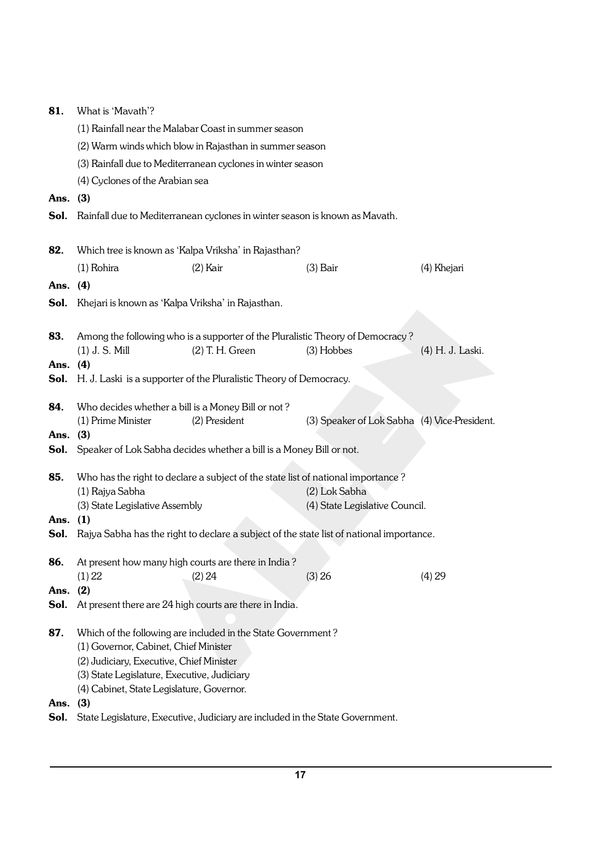| 81.        | What is 'Mavath'?                                                                                                      |                                                                                  |                                                                                          |                  |  |  |  |  |
|------------|------------------------------------------------------------------------------------------------------------------------|----------------------------------------------------------------------------------|------------------------------------------------------------------------------------------|------------------|--|--|--|--|
|            | (1) Rainfall near the Malabar Coast in summer season                                                                   |                                                                                  |                                                                                          |                  |  |  |  |  |
|            | (2) Warm winds which blow in Rajasthan in summer season<br>(3) Rainfall due to Mediterranean cyclones in winter season |                                                                                  |                                                                                          |                  |  |  |  |  |
|            |                                                                                                                        |                                                                                  |                                                                                          |                  |  |  |  |  |
|            | (4) Cyclones of the Arabian sea                                                                                        |                                                                                  |                                                                                          |                  |  |  |  |  |
| Ans. $(3)$ |                                                                                                                        |                                                                                  |                                                                                          |                  |  |  |  |  |
| Sol.       |                                                                                                                        | Rainfall due to Mediterranean cyclones in winter season is known as Mavath.      |                                                                                          |                  |  |  |  |  |
|            |                                                                                                                        |                                                                                  |                                                                                          |                  |  |  |  |  |
| 82.        |                                                                                                                        | Which tree is known as 'Kalpa Vriksha' in Rajasthan?                             |                                                                                          |                  |  |  |  |  |
|            | $(1)$ Rohira                                                                                                           | $(2)$ Kair                                                                       | $(3)$ Bair                                                                               | (4) Khejari      |  |  |  |  |
| Ans. $(4)$ |                                                                                                                        |                                                                                  |                                                                                          |                  |  |  |  |  |
|            | <b>Sol.</b> Khejari is known as 'Kalpa Vriksha' in Rajasthan.                                                          |                                                                                  |                                                                                          |                  |  |  |  |  |
|            |                                                                                                                        |                                                                                  |                                                                                          |                  |  |  |  |  |
| 83.        |                                                                                                                        | Among the following who is a supporter of the Pluralistic Theory of Democracy?   |                                                                                          |                  |  |  |  |  |
|            | $(1)$ J. S. Mill                                                                                                       | (2) T. H. Green                                                                  | $(3)$ Hobbes                                                                             | (4) H. J. Laski. |  |  |  |  |
| Ans. (4)   | <b>Sol.</b> H. J. Laski is a supporter of the Pluralistic Theory of Democracy.                                         |                                                                                  |                                                                                          |                  |  |  |  |  |
|            |                                                                                                                        |                                                                                  |                                                                                          |                  |  |  |  |  |
| 84.        | Who decides whether a bill is a Money Bill or not?                                                                     |                                                                                  |                                                                                          |                  |  |  |  |  |
|            | (1) Prime Minister                                                                                                     | (2) President                                                                    | (3) Speaker of Lok Sabha (4) Vice-President.                                             |                  |  |  |  |  |
| Ans. (3)   | <b>Sol.</b> Speaker of Lok Sabha decides whether a bill is a Money Bill or not.                                        |                                                                                  |                                                                                          |                  |  |  |  |  |
|            |                                                                                                                        |                                                                                  |                                                                                          |                  |  |  |  |  |
| 85.        |                                                                                                                        | Who has the right to declare a subject of the state list of national importance? |                                                                                          |                  |  |  |  |  |
|            | (1) Rajya Sabha                                                                                                        |                                                                                  | (2) Lok Sabha                                                                            |                  |  |  |  |  |
| Ans. $(1)$ | (3) State Legislative Assembly                                                                                         |                                                                                  | (4) State Legislative Council.                                                           |                  |  |  |  |  |
| Sol.       |                                                                                                                        |                                                                                  | Rajya Sabha has the right to declare a subject of the state list of national importance. |                  |  |  |  |  |
|            |                                                                                                                        |                                                                                  |                                                                                          |                  |  |  |  |  |
| 86.        | At present how many high courts are there in India?                                                                    |                                                                                  |                                                                                          |                  |  |  |  |  |
| Ans.       | (1) 22<br>(2)                                                                                                          | (2) 24                                                                           | (3) 26                                                                                   | (4) 29           |  |  |  |  |
| Sol.       | At present there are 24 high courts are there in India.                                                                |                                                                                  |                                                                                          |                  |  |  |  |  |
|            |                                                                                                                        |                                                                                  |                                                                                          |                  |  |  |  |  |
| 87.        | (1) Governor, Cabinet, Chief Minister                                                                                  | Which of the following are included in the State Government?                     |                                                                                          |                  |  |  |  |  |
|            | (2) Judiciary, Executive, Chief Minister                                                                               |                                                                                  |                                                                                          |                  |  |  |  |  |
|            | (3) State Legislature, Executive, Judiciary                                                                            |                                                                                  |                                                                                          |                  |  |  |  |  |
|            | (4) Cabinet, State Legislature, Governor.                                                                              |                                                                                  |                                                                                          |                  |  |  |  |  |
| Ans.       | (3)                                                                                                                    |                                                                                  |                                                                                          |                  |  |  |  |  |
| Sol.       |                                                                                                                        | State Legislature, Executive, Judiciary are included in the State Government.    |                                                                                          |                  |  |  |  |  |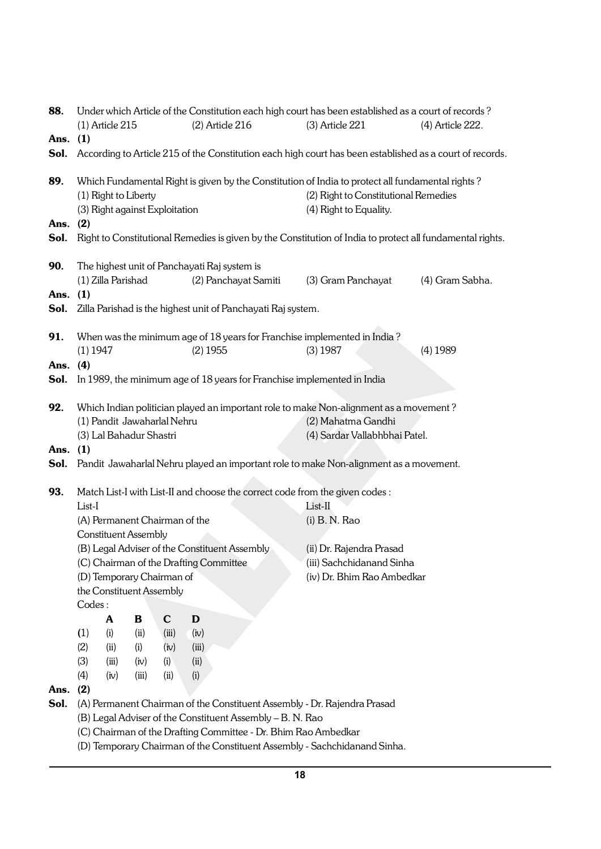| 88.                         | Under which Article of the Constitution each high court has been established as a court of records?      |                             |       |                                |                                                                                       |                    |                                      |  |                                                                                                           |  |
|-----------------------------|----------------------------------------------------------------------------------------------------------|-----------------------------|-------|--------------------------------|---------------------------------------------------------------------------------------|--------------------|--------------------------------------|--|-----------------------------------------------------------------------------------------------------------|--|
|                             |                                                                                                          | $(1)$ Article 215           |       |                                | $(2)$ Article 216                                                                     |                    | (3) Article 221                      |  | (4) Article 222.                                                                                          |  |
| Ans. (1)                    |                                                                                                          |                             |       |                                |                                                                                       |                    |                                      |  |                                                                                                           |  |
| Sol.                        | According to Article 215 of the Constitution each high court has been established as a court of records. |                             |       |                                |                                                                                       |                    |                                      |  |                                                                                                           |  |
| 89.                         | Which Fundamental Right is given by the Constitution of India to protect all fundamental rights?         |                             |       |                                |                                                                                       |                    |                                      |  |                                                                                                           |  |
|                             |                                                                                                          | (1) Right to Liberty        |       |                                |                                                                                       |                    | (2) Right to Constitutional Remedies |  |                                                                                                           |  |
|                             |                                                                                                          |                             |       | (3) Right against Exploitation |                                                                                       |                    | (4) Right to Equality.               |  |                                                                                                           |  |
| Ans. (2)                    |                                                                                                          |                             |       |                                |                                                                                       |                    |                                      |  |                                                                                                           |  |
| Sol.                        |                                                                                                          |                             |       |                                |                                                                                       |                    |                                      |  | Right to Constitutional Remedies is given by the Constitution of India to protect all fundamental rights. |  |
| 90.                         |                                                                                                          |                             |       |                                | The highest unit of Panchayati Raj system is                                          |                    |                                      |  |                                                                                                           |  |
|                             |                                                                                                          | (1) Zilla Parishad          |       |                                | (2) Panchayat Samiti                                                                  |                    | (3) Gram Panchayat                   |  | (4) Gram Sabha.                                                                                           |  |
| Ans.                        | (1)                                                                                                      |                             |       |                                |                                                                                       |                    |                                      |  |                                                                                                           |  |
| Sol.                        |                                                                                                          |                             |       |                                | Zilla Parishad is the highest unit of Panchayati Raj system.                          |                    |                                      |  |                                                                                                           |  |
| 91.                         |                                                                                                          |                             |       |                                | When was the minimum age of 18 years for Franchise implemented in India?              |                    |                                      |  |                                                                                                           |  |
|                             | $(1)$ 1947                                                                                               |                             |       |                                | $(2)$ 1955                                                                            |                    | $(3)$ 1987                           |  | $(4)$ 1989                                                                                                |  |
| Ans. (4)                    |                                                                                                          |                             |       |                                |                                                                                       |                    |                                      |  |                                                                                                           |  |
| Sol.                        |                                                                                                          |                             |       |                                | In 1989, the minimum age of 18 years for Franchise implemented in India               |                    |                                      |  |                                                                                                           |  |
|                             |                                                                                                          |                             |       |                                |                                                                                       |                    |                                      |  |                                                                                                           |  |
| 92.                         |                                                                                                          |                             |       |                                | Which Indian politician played an important role to make Non-alignment as a movement? |                    |                                      |  |                                                                                                           |  |
| (1) Pandit Jawaharlal Nehru |                                                                                                          |                             |       |                                |                                                                                       | (2) Mahatma Gandhi |                                      |  |                                                                                                           |  |
|                             |                                                                                                          | (3) Lal Bahadur Shastri     |       |                                |                                                                                       |                    | (4) Sardar Vallabhbhai Patel.        |  |                                                                                                           |  |
| Ans.                        | (1)                                                                                                      |                             |       |                                |                                                                                       |                    |                                      |  |                                                                                                           |  |
| Sol.                        |                                                                                                          |                             |       |                                | Pandit Jawaharlal Nehru played an important role to make Non-alignment as a movement. |                    |                                      |  |                                                                                                           |  |
|                             |                                                                                                          |                             |       |                                |                                                                                       |                    |                                      |  |                                                                                                           |  |
| 93.                         |                                                                                                          |                             |       |                                | Match List-I with List-II and choose the correct code from the given codes :          |                    |                                      |  |                                                                                                           |  |
|                             | List-I                                                                                                   |                             |       |                                |                                                                                       |                    | List-II                              |  |                                                                                                           |  |
|                             |                                                                                                          |                             |       | (A) Permanent Chairman of the  |                                                                                       |                    | $(i)$ B. N. Rao                      |  |                                                                                                           |  |
|                             |                                                                                                          | <b>Constituent Assembly</b> |       |                                |                                                                                       |                    |                                      |  |                                                                                                           |  |
|                             |                                                                                                          |                             |       |                                | (B) Legal Adviser of the Constituent Assembly                                         |                    | (ii) Dr. Rajendra Prasad             |  |                                                                                                           |  |
|                             |                                                                                                          |                             |       |                                | (C) Chairman of the Drafting Committee                                                |                    | (iii) Sachchidanand Sinha            |  |                                                                                                           |  |
|                             |                                                                                                          |                             |       | (D) Temporary Chairman of      |                                                                                       |                    | (iv) Dr. Bhim Rao Ambedkar           |  |                                                                                                           |  |
|                             |                                                                                                          |                             |       | the Constituent Assembly       |                                                                                       |                    |                                      |  |                                                                                                           |  |
|                             | Codes:                                                                                                   |                             |       |                                |                                                                                       |                    |                                      |  |                                                                                                           |  |
|                             |                                                                                                          | A                           | В     | $\mathbf C$                    | $\mathbf D$                                                                           |                    |                                      |  |                                                                                                           |  |
|                             | (1)                                                                                                      | (i)                         | (ii)  | (iii)                          | (iv)                                                                                  |                    |                                      |  |                                                                                                           |  |
|                             | (2)                                                                                                      | (ii)                        | (i)   | (iv)                           | (iii)                                                                                 |                    |                                      |  |                                                                                                           |  |
|                             | (3)                                                                                                      | (iii)                       | (iv)  | (i)                            | (ii)                                                                                  |                    |                                      |  |                                                                                                           |  |
|                             | (4)                                                                                                      | (iv)                        | (iii) | (ii)                           | (i)                                                                                   |                    |                                      |  |                                                                                                           |  |
| Ans.<br>Sol.                | (2)                                                                                                      |                             |       |                                | (A) Permanent Chairman of the Constituent Assembly - Dr. Rajendra Prasad              |                    |                                      |  |                                                                                                           |  |
|                             |                                                                                                          |                             |       |                                | (B) Legal Adviser of the Constituent Assembly - B. N. Rao                             |                    |                                      |  |                                                                                                           |  |
|                             |                                                                                                          |                             |       |                                | (C) Chairman of the Drafting Committee - Dr. Bhim Rao Ambedkar                        |                    |                                      |  |                                                                                                           |  |
|                             |                                                                                                          |                             |       |                                | (D) Temporary Chairman of the Constituent Assembly - Sachchidanand Sinha.             |                    |                                      |  |                                                                                                           |  |
|                             |                                                                                                          |                             |       |                                |                                                                                       |                    |                                      |  |                                                                                                           |  |